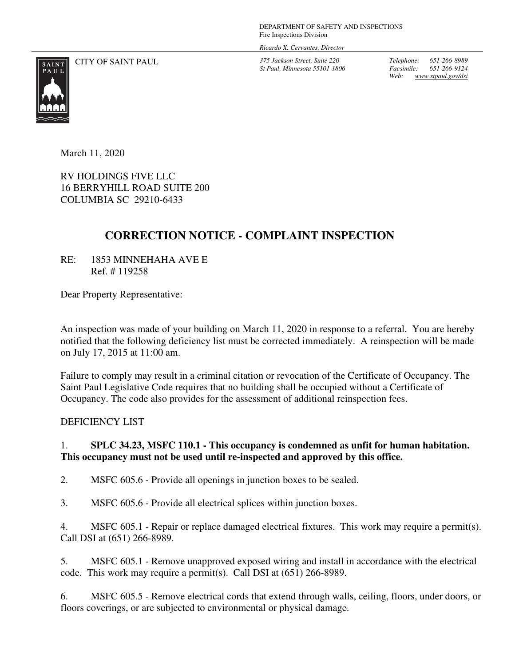DEPARTMENT OF SAFETY AND INSPECTIONS Fire Inspections Division

*Ricardo X. Cervantes, Director*

CITY OF SAINT PAUL *375 Jackson Street, Suite 220* 

*St Paul, Minnesota 55101-1806* 

*Telephone: 651-266-8989 Facsimile: 651-266-9124 Web: www.stpaul.gov/dsi* 



March 11, 2020

RV HOLDINGS FIVE LLC 16 BERRYHILL ROAD SUITE 200 COLUMBIA SC 29210-6433

## **CORRECTION NOTICE - COMPLAINT INSPECTION**

RE: 1853 MINNEHAHA AVE E Ref. # 119258

Dear Property Representative:

An inspection was made of your building on March 11, 2020 in response to a referral. You are hereby notified that the following deficiency list must be corrected immediately. A reinspection will be made on July 17, 2015 at 11:00 am.

Failure to comply may result in a criminal citation or revocation of the Certificate of Occupancy. The Saint Paul Legislative Code requires that no building shall be occupied without a Certificate of Occupancy. The code also provides for the assessment of additional reinspection fees.

DEFICIENCY LIST

## 1. **SPLC 34.23, MSFC 110.1 - This occupancy is condemned as unfit for human habitation. This occupancy must not be used until re-inspected and approved by this office.**

2. MSFC 605.6 - Provide all openings in junction boxes to be sealed.

3. MSFC 605.6 - Provide all electrical splices within junction boxes.

4. MSFC 605.1 - Repair or replace damaged electrical fixtures. This work may require a permit(s). Call DSI at (651) 266-8989.

5. MSFC 605.1 - Remove unapproved exposed wiring and install in accordance with the electrical code. This work may require a permit(s). Call DSI at (651) 266-8989.

6. MSFC 605.5 - Remove electrical cords that extend through walls, ceiling, floors, under doors, or floors coverings, or are subjected to environmental or physical damage.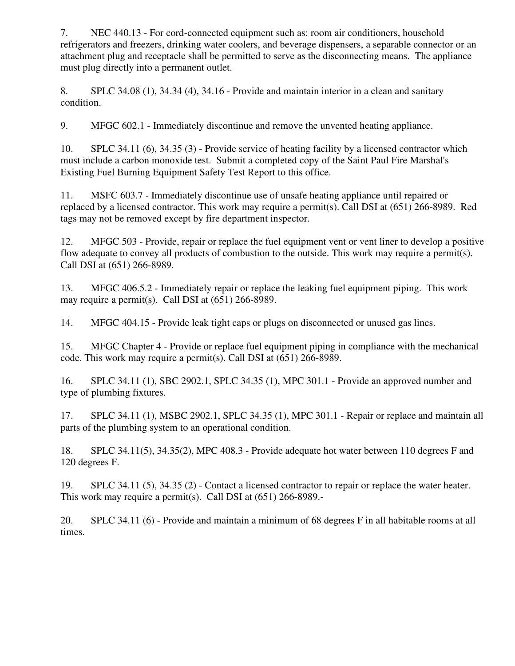7. NEC 440.13 - For cord-connected equipment such as: room air conditioners, household refrigerators and freezers, drinking water coolers, and beverage dispensers, a separable connector or an attachment plug and receptacle shall be permitted to serve as the disconnecting means. The appliance must plug directly into a permanent outlet.

8. SPLC 34.08 (1), 34.34 (4), 34.16 - Provide and maintain interior in a clean and sanitary condition.

9. MFGC 602.1 - Immediately discontinue and remove the unvented heating appliance.

10. SPLC 34.11 (6), 34.35 (3) - Provide service of heating facility by a licensed contractor which must include a carbon monoxide test. Submit a completed copy of the Saint Paul Fire Marshal's Existing Fuel Burning Equipment Safety Test Report to this office.

11. MSFC 603.7 - Immediately discontinue use of unsafe heating appliance until repaired or replaced by a licensed contractor. This work may require a permit(s). Call DSI at (651) 266-8989. Red tags may not be removed except by fire department inspector.

12. MFGC 503 - Provide, repair or replace the fuel equipment vent or vent liner to develop a positive flow adequate to convey all products of combustion to the outside. This work may require a permit(s). Call DSI at (651) 266-8989.

13. MFGC 406.5.2 - Immediately repair or replace the leaking fuel equipment piping. This work may require a permit(s). Call DSI at (651) 266-8989.

14. MFGC 404.15 - Provide leak tight caps or plugs on disconnected or unused gas lines.

15. MFGC Chapter 4 - Provide or replace fuel equipment piping in compliance with the mechanical code. This work may require a permit(s). Call DSI at (651) 266-8989.

16. SPLC 34.11 (1), SBC 2902.1, SPLC 34.35 (1), MPC 301.1 - Provide an approved number and type of plumbing fixtures.

17. SPLC 34.11 (1), MSBC 2902.1, SPLC 34.35 (1), MPC 301.1 - Repair or replace and maintain all parts of the plumbing system to an operational condition.

18. SPLC 34.11(5), 34.35(2), MPC 408.3 - Provide adequate hot water between 110 degrees F and 120 degrees F.

19. SPLC 34.11 (5), 34.35 (2) - Contact a licensed contractor to repair or replace the water heater. This work may require a permit(s). Call DSI at (651) 266-8989.-

20. SPLC 34.11 (6) - Provide and maintain a minimum of 68 degrees F in all habitable rooms at all times.